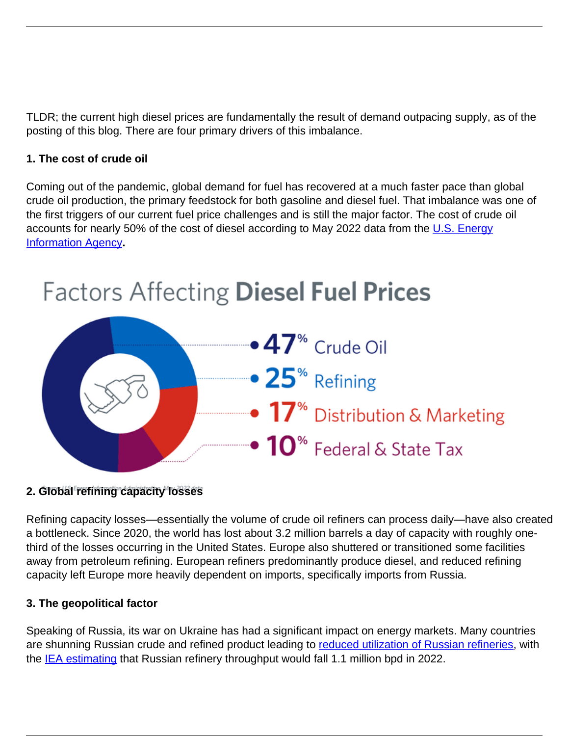TLDR; the current high diesel prices are fundamentally the result of demand outpacing supply, as of the posting of this blog. There are four primary drivers of this imbalance.

## **1. The cost of crude oil**

Coming out of the pandemic, global demand for fuel has recovered at a much faster pace than global crude oil production, the primary feedstock for both gasoline and diesel fuel. That imbalance was one of the first triggers of our current fuel price challenges and is still the major factor. The cost of crude oil accounts for nearly 50% of the cost of diesel according to May 2022 data from the [U.S. Energy](https://www.eia.gov/petroleum/gasdiesel/) [Information Agency](https://www.eia.gov/petroleum/gasdiesel/)**.**



## **2. Global refining capacity losses**

Refining capacity losses—essentially the volume of crude oil refiners can process daily—have also created a bottleneck. Since 2020, the world has lost about 3.2 million barrels a day of capacity with roughly onethird of the losses occurring in the United States. Europe also shuttered or transitioned some facilities away from petroleum refining. European refiners predominantly produce diesel, and reduced refining capacity left Europe more heavily dependent on imports, specifically imports from Russia.

## **3. The geopolitical factor**

Speaking of Russia, its war on Ukraine has had a significant impact on energy markets. Many countries are shunning Russian crude and refined product leading to [reduced utilization of Russian refineries,](https://www.reuters.com/business/energy/russian-oil-refiners-signal-deeper-cuts-refinery-runs-amid-overstocking-2022-03-31/) with the **IEA estimating** that Russian refinery throughput would fall 1.1 million bpd in 2022.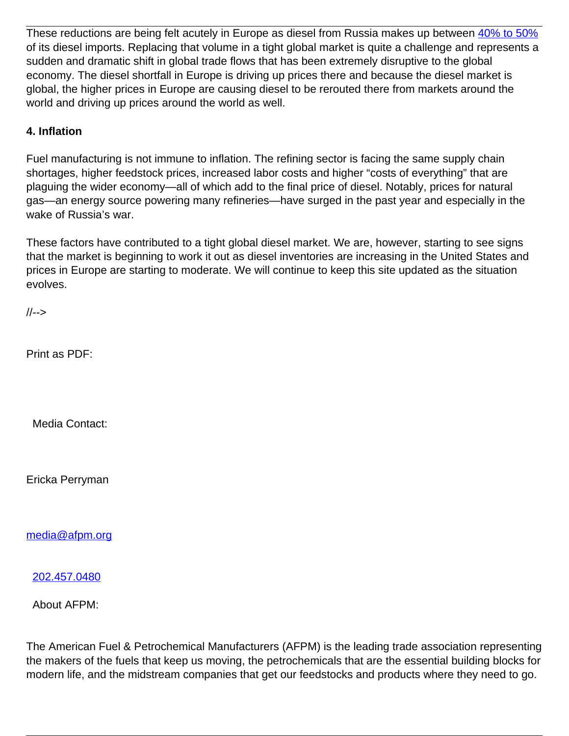These reductions are being felt acutely in Europe as diesel from Russia makes up between [40% to 50%](https://www.csis.org/analysis/european-union-prepares-ban-russian-oil#:~:text=Russia%20typically%20supplies%2040%20to%2050%20percent%20of%20Europe) of its diesel imports. Replacing that volume in a tight global market is quite a challenge and represents a sudden and dramatic shift in global trade flows that has been extremely disruptive to the global economy. The diesel shortfall in Europe is driving up prices there and because the diesel market is global, the higher prices in Europe are causing diesel to be rerouted there from markets around the world and driving up prices around the world as well.

## **4. Inflation**

Fuel manufacturing is not immune to inflation. The refining sector is facing the same supply chain shortages, higher feedstock prices, increased labor costs and higher "costs of everything" that are plaguing the wider economy—all of which add to the final price of diesel. Notably, prices for natural gas—an energy source powering many refineries—have surged in the past year and especially in the wake of Russia's war.

These factors have contributed to a tight global diesel market. We are, however, starting to see signs that the market is beginning to work it out as diesel inventories are increasing in the United States and prices in Europe are starting to moderate. We will continue to keep this site updated as the situation evolves.

//-->

Print as PDF:

Media Contact:

Ericka Perryman

[media@afpm.org](mailto:media@afpm.org)

[202.457.0480](tel:202.457.0480)

About AFPM:

The American Fuel & Petrochemical Manufacturers (AFPM) is the leading trade association representing the makers of the fuels that keep us moving, the petrochemicals that are the essential building blocks for modern life, and the midstream companies that get our feedstocks and products where they need to go.